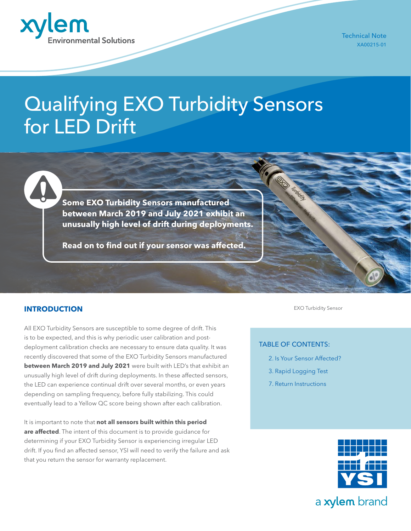

Technical Note XA00215-01

# Qualifying EXO Turbidity Sensors for LED Drift

**Some EXO Turbidity Sensors manufactured between March 2019 and July 2021 exhibit an unusually high level of drift during deployments.** 

**Read on to find out if your sensor was affected.**

#### **INTRODUCTION**

All EXO Turbidity Sensors are susceptible to some degree of drift. This is to be expected, and this is why periodic user calibration and postdeployment calibration checks are necessary to ensure data quality. It was recently discovered that some of the EXO Turbidity Sensors manufactured **between March 2019 and July 2021** were built with LED's that exhibit an unusually high level of drift during deployments. In these affected sensors, the LED can experience continual drift over several months, or even years depending on sampling frequency, before fully stabilizing. This could eventually lead to a Yellow QC score being shown after each calibration.

It is important to note that **not all sensors built within this period are affected**. The intent of this document is to provide guidance for determining if your EXO Turbidity Sensor is experiencing irregular LED drift. If you find an affected sensor, YSI will need to verify the failure and ask that you return the sensor for warranty replacement.

EXO Turbidity Sensor

#### TABLE OF CONTENTS:

- [2. Is Your Sensor Affected?](#page-1-0)
- [3. Rapid Logging Test](#page-2-0)
- [7. Return Instructions](#page-6-0)



a xylem brand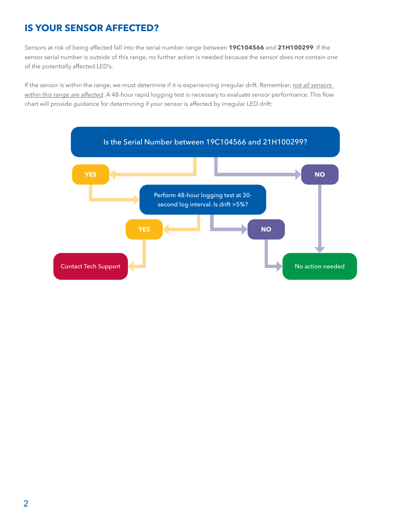## <span id="page-1-0"></span>**IS YOUR SENSOR AFFECTED?**

Sensors at risk of being affected fall into the serial number range between **19C104566** and **21H100299**. If the sensor serial number is outside of this range, no further action is needed because the sensor does not contain one of the potentially affected LED's.

If the sensor is within the range, we must determine if it is experiencing irregular drift. Remember, *not all sensors within this range are affected*. A 48-hour rapid logging test is necessary to evaluate sensor performance. This flow chart will provide guidance for determining if your sensor is affected by irregular LED drift:

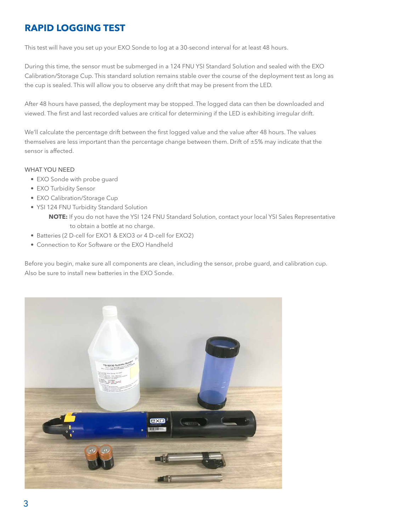## <span id="page-2-0"></span>**RAPID LOGGING TEST**

This test will have you set up your EXO Sonde to log at a 30-second interval for at least 48 hours.

During this time, the sensor must be submerged in a 124 FNU YSI Standard Solution and sealed with the EXO Calibration/Storage Cup. This standard solution remains stable over the course of the deployment test as long as the cup is sealed. This will allow you to observe any drift that may be present from the LED.

After 48 hours have passed, the deployment may be stopped. The logged data can then be downloaded and viewed. The first and last recorded values are critical for determining if the LED is exhibiting irregular drift.

We'll calculate the percentage drift between the first logged value and the value after 48 hours. The values themselves are less important than the percentage change between them. Drift of  $\pm$ 5% may indicate that the sensor is affected.

#### WHAT YOU NEED

- EXO Sonde with probe guard
- EXO Turbidity Sensor
- EXO Calibration/Storage Cup
- YSI 124 FNU Turbidity Standard Solution **NOTE:** If you do not have the YSI 124 FNU Standard Solution, contact your local YSI Sales Representative to obtain a bottle at no charge.
- Batteries (2 D-cell for EXO1 & EXO3 or 4 D-cell for EXO2)
- Connection to Kor Software or the EXO Handheld

Before you begin, make sure all components are clean, including the sensor, probe guard, and calibration cup. Also be sure to install new batteries in the EXO Sonde.

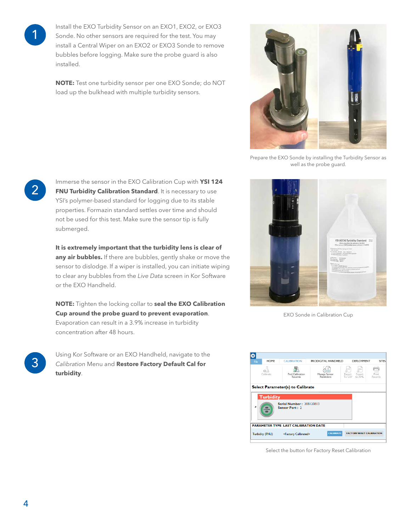1

Install the EXO Turbidity Sensor on an EXO1, EXO2, or EXO3 Sonde. No other sensors are required for the test. You may install a Central Wiper on an EXO2 or EXO3 Sonde to remove bubbles before logging. Make sure the probe guard is also installed.

**NOTE:** Test one turbidity sensor per one EXO Sonde; do NOT load up the bulkhead with multiple turbidity sensors.



Prepare the EXO Sonde by installing the Turbidity Sensor as well as the probe guard.

**2** Immerse the sensor in the EXO Calibration Cup with **YSI 124**<br>**FNU Turbidity Calibration Standard**. It is necessary to use YSI's polymer-based standard for logging due to its stable properties. Formazin standard settles over time and should not be used for this test. Make sure the sensor tip is fully submerged.

> **It is extremely important that the turbidity lens is clear of**  any air bubbles. If there are bubbles, gently shake or move the sensor to dislodge. If a wiper is installed, you can initiate wiping to clear any bubbles from the *Live Data* screen in Kor Software or the EXO Handheld.

**NOTE:** Tighten the locking collar to **seal the EXO Calibration Cup around the probe guard to prevent evaporation**. Evaporation can result in a 3.9% increase in turbidity concentration after 48 hours.

3 Using Kor Software or an EXO Handheld, navigate to the *Calibration* Menu and **Restore Factory Default Cal for turbidity**.



EXO Sonde in Calibration Cup



Select the button for Factory Reset Calibration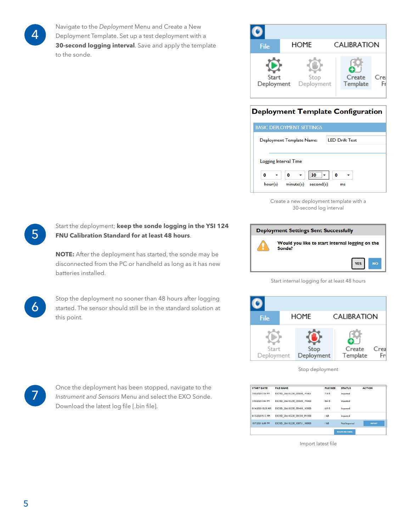4

Navigate to the *Deployment* Menu and Create a New Deployment Template. Set up a test deployment with a **30-second logging interval**. Save and apply the template to the sonde.

| File                | HOME               | CALIBRATION                |
|---------------------|--------------------|----------------------------|
| Start<br>Deployment | Stop<br>Deployment | Crea<br>Create<br>Template |

## **Deployment Template Configuration**

| <b>BASIC DEPLOYMENT SETTINGS</b> |                           |           |                       |    |  |
|----------------------------------|---------------------------|-----------|-----------------------|----|--|
|                                  | Deployment Template Name: |           | <b>LED Drift Test</b> |    |  |
|                                  |                           |           |                       |    |  |
| Logging Interval Time            |                           |           |                       |    |  |
| 0                                | 0                         | 30        | 0                     |    |  |
| hour(s)                          | minute(s)                 | second(s) |                       | ms |  |

Create a new deployment template with a 30-second log interval



Start internal logging for at least 48 hours



Stop deployment

| <b>START DATE</b>  | <b>FILE NAME</b>              | <b>FILE SIZE</b> | <b>STATUS</b>         | <b>ACTION</b> |
|--------------------|-------------------------------|------------------|-----------------------|---------------|
| 3/30/2020 7:34 PM  | EXOSD 20A102238 033020 193401 | 718B             | <b>Imported</b>       |               |
| 3/30/2020 7:44 PM  | EXOSD 20A102238 033020 194400 | 864 B            | Imported              |               |
| 8/14/2020 10:30 AM | EXOSD 20A102238 081420 103000 | 629 B            | Imported              |               |
| 8/13/2020 9:15 AM  | EXOSD 20A102238 081320 091500 | 1 kB             | Imported              |               |
| 10/7/2021 6:08 PM  | EXOSD_20A102238_100721_180800 | 1 kB             | Not Imported          | <b>IHPORT</b> |
|                    |                               |                  | <b>DELETE RECORDS</b> |               |

Import latest file

Start the deployment; **keep the sonde logging in the YSI 124 FNU Calibration Standard for at least 48 hours**.

**NOTE:** After the deployment has started, the sonde may be disconnected from the PC or handheld as long as it has new batteries installed.

6

5

Stop the deployment no sooner than 48 hours after logging started. The sensor should still be in the standard solution at this point.



Once the deployment has been stopped, navigate to the *Instrument and Sensors* Menu and select the EXO Sonde. Download the latest log file [.bin file].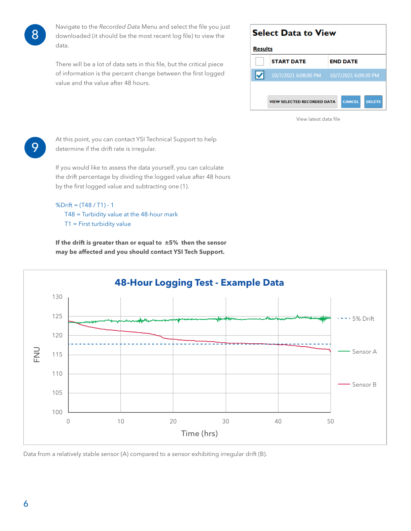

Navigate to the *Recorded Data* Menu and select the file you just downloaded (it should be the most recent log file) to view the data.

There will be a lot of data sets in this file, but the critical piece of information is the percent change between the first logged value and the value after 48 hours.

| <b>Select Data to View</b> |                                    |                         |  |  |  |
|----------------------------|------------------------------------|-------------------------|--|--|--|
|                            | <b>Results</b>                     |                         |  |  |  |
|                            | <b>START DATE</b>                  | <b>END DATE</b>         |  |  |  |
| ⋈                          | 10/7/2021 6:08:00 PM               | 10/7/2021 6:09:30 PM    |  |  |  |
|                            |                                    |                         |  |  |  |
|                            | <b>VIEW SELECTED RECORDED DATA</b> | <b>CANCEL</b><br>DELETE |  |  |  |
|                            |                                    |                         |  |  |  |

View latest data file



At this point, you can contact YSI Technical Support to help determine if the drift rate is irregular.

If you would like to assess the data yourself, you can calculate the drift percentage by dividing the logged value after 48 hours by the first logged value and subtracting one (1).

### %Drift = (T48 / T1) - 1 T48 = Turbidity value at the 48-hour mark T1 = First turbidity value

**If the drift is greater than or equal to ±5% then the sensor may be affected and you should contact YSI Tech Support.**



Data from a relatively stable sensor (A) compared to a sensor exhibiting irregular drift (B).